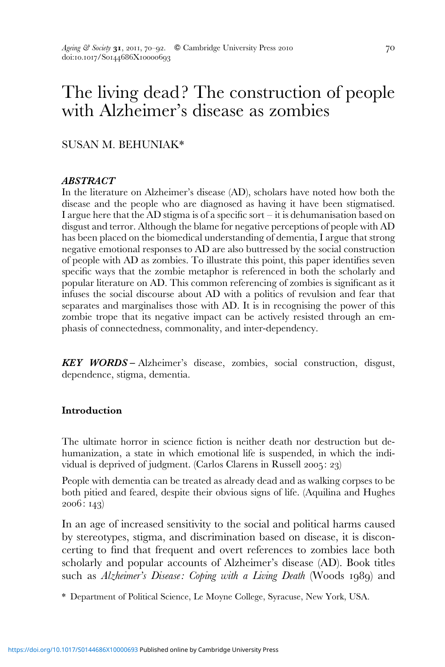# The living dead? The construction of people with Alzheimer's disease as zombies

# SUSAN M. BEHUNIAK\*

# ABSTRACT

In the literature on Alzheimer's disease (AD), scholars have noted how both the disease and the people who are diagnosed as having it have been stigmatised. I argue here that the AD stigma is of a specific sort – it is dehumanisation based on disgust and terror. Although the blame for negative perceptions of people with AD has been placed on the biomedical understanding of dementia, I argue that strong negative emotional responses to AD are also buttressed by the social construction of people with AD as zombies. To illustrate this point, this paper identifies seven specific ways that the zombie metaphor is referenced in both the scholarly and popular literature on AD. This common referencing of zombies is significant as it infuses the social discourse about AD with a politics of revulsion and fear that separates and marginalises those with AD. It is in recognising the power of this zombie trope that its negative impact can be actively resisted through an emphasis of connectedness, commonality, and inter-dependency.

KEY WORDS – Alzheimer's disease, zombies, social construction, disgust, dependence, stigma, dementia.

## Introduction

The ultimate horror in science fiction is neither death nor destruction but dehumanization, a state in which emotional life is suspended, in which the individual is deprived of judgment. (Carlos Clarens in Russell 2005: 23)

People with dementia can be treated as already dead and as walking corpses to be both pitied and feared, despite their obvious signs of life. (Aquilina and Hughes 2006: 143)

In an age of increased sensitivity to the social and political harms caused by stereotypes, stigma, and discrimination based on disease, it is disconcerting to find that frequent and overt references to zombies lace both scholarly and popular accounts of Alzheimer's disease (AD). Book titles such as Alzheimer's Disease: Coping with a Living Death (Woods 1989) and

\* Department of Political Science, Le Moyne College, Syracuse, New York, USA.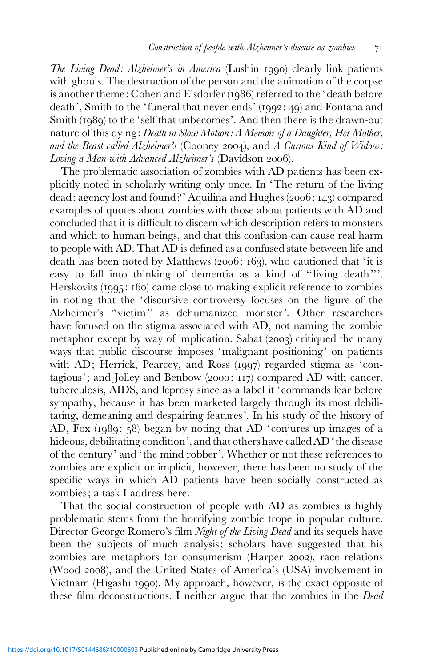The Living Dead: Alzheimer's in America (Lushin 1990) clearly link patients with ghouls. The destruction of the person and the animation of the corpse is another theme: Cohen and Eisdorfer (1986) referred to the 'death before death', Smith to the 'funeral that never ends' (1992: 49) and Fontana and Smith (1989) to the 'self that unbecomes'. And then there is the drawn-out nature of this dying: Death in Slow Motion: A Memoir of a Daughter, Her Mother, and the Beast called Alzheimer's (Cooney 2004), and A Curious Kind of Widow: Loving a Man with Advanced Alzheimer's (Davidson 2006).

The problematic association of zombies with AD patients has been explicitly noted in scholarly writing only once. In 'The return of the living dead: agency lost and found ?' Aquilina and Hughes (2006: 143) compared examples of quotes about zombies with those about patients with AD and concluded that it is difficult to discern which description refers to monsters and which to human beings, and that this confusion can cause real harm to people with AD. That AD is defined as a confused state between life and death has been noted by Matthews (2006: 163), who cautioned that 'it is easy to fall into thinking of dementia as a kind of ''living death'''. Herskovits (1995: 160) came close to making explicit reference to zombies in noting that the 'discursive controversy focuses on the figure of the Alzheimer's ''victim'' as dehumanized monster'. Other researchers have focused on the stigma associated with AD, not naming the zombie metaphor except by way of implication. Sabat (2003) critiqued the many ways that public discourse imposes 'malignant positioning' on patients with AD; Herrick, Pearcey, and Ross (1997) regarded stigma as 'contagious'; and Jolley and Benbow (2000: 117) compared AD with cancer, tuberculosis, AIDS, and leprosy since as a label it 'commands fear before sympathy, because it has been marketed largely through its most debilitating, demeaning and despairing features'. In his study of the history of AD, Fox (1989: 58) began by noting that AD 'conjures up images of a hideous, debilitating condition', and that others have called AD 'the disease of the century' and 'the mind robber'. Whether or not these references to zombies are explicit or implicit, however, there has been no study of the specific ways in which AD patients have been socially constructed as zombies; a task I address here.

That the social construction of people with AD as zombies is highly problematic stems from the horrifying zombie trope in popular culture. Director George Romero's film Night of the Living Dead and its sequels have been the subjects of much analysis; scholars have suggested that his zombies are metaphors for consumerism (Harper 2002), race relations (Wood 2008), and the United States of America's (USA) involvement in Vietnam (Higashi 1990). My approach, however, is the exact opposite of these film deconstructions. I neither argue that the zombies in the Dead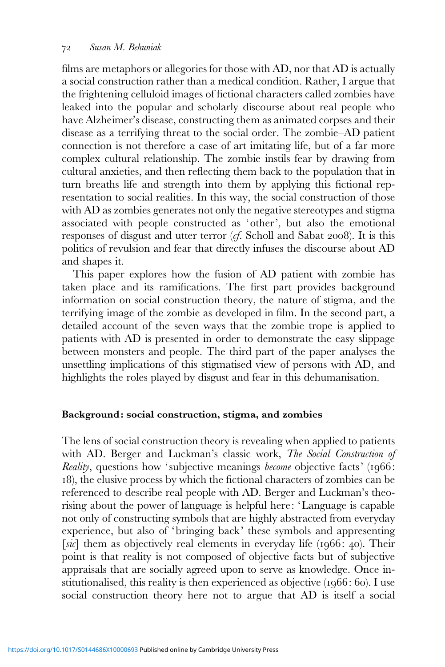films are metaphors or allegories for those with AD, nor that AD is actually a social construction rather than a medical condition. Rather, I argue that the frightening celluloid images of fictional characters called zombies have leaked into the popular and scholarly discourse about real people who have Alzheimer's disease, constructing them as animated corpses and their disease as a terrifying threat to the social order. The zombie–AD patient connection is not therefore a case of art imitating life, but of a far more complex cultural relationship. The zombie instils fear by drawing from cultural anxieties, and then reflecting them back to the population that in turn breaths life and strength into them by applying this fictional representation to social realities. In this way, the social construction of those with AD as zombies generates not only the negative stereotypes and stigma associated with people constructed as ' other', but also the emotional responses of disgust and utter terror (cf. Scholl and Sabat 2008). It is this politics of revulsion and fear that directly infuses the discourse about AD and shapes it.

This paper explores how the fusion of AD patient with zombie has taken place and its ramifications. The first part provides background information on social construction theory, the nature of stigma, and the terrifying image of the zombie as developed in film. In the second part, a detailed account of the seven ways that the zombie trope is applied to patients with AD is presented in order to demonstrate the easy slippage between monsters and people. The third part of the paper analyses the unsettling implications of this stigmatised view of persons with AD, and highlights the roles played by disgust and fear in this dehumanisation.

### Background: social construction, stigma, and zombies

The lens of social construction theory is revealing when applied to patients with AD. Berger and Luckman's classic work, The Social Construction of Reality, questions how 'subjective meanings *become* objective facts' (1966: 18), the elusive process by which the fictional characters of zombies can be referenced to describe real people with AD. Berger and Luckman's theorising about the power of language is helpful here: 'Language is capable not only of constructing symbols that are highly abstracted from everyday experience, but also of 'bringing back' these symbols and appresenting [sic] them as objectively real elements in everyday life (1966: 40). Their point is that reality is not composed of objective facts but of subjective appraisals that are socially agreed upon to serve as knowledge. Once institutionalised, this reality is then experienced as objective (1966: 60). I use social construction theory here not to argue that AD is itself a social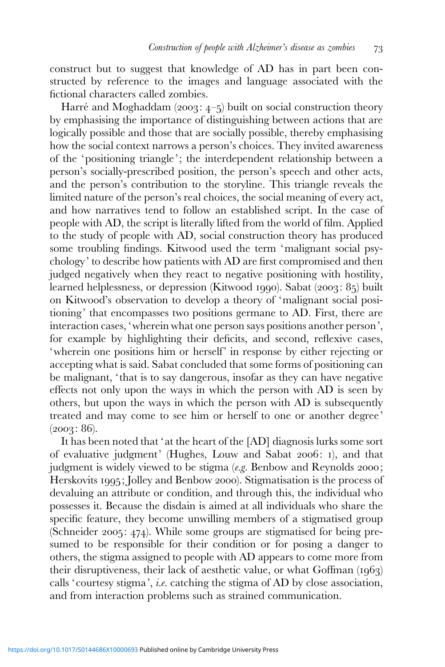construct but to suggest that knowledge of AD has in part been constructed by reference to the images and language associated with the fictional characters called zombies.

Harré and Moghaddam (2003:  $4-5$ ) built on social construction theory by emphasising the importance of distinguishing between actions that are logically possible and those that are socially possible, thereby emphasising how the social context narrows a person's choices. They invited awareness of the 'positioning triangle'; the interdependent relationship between a person's socially-prescribed position, the person's speech and other acts, and the person's contribution to the storyline. This triangle reveals the limited nature of the person's real choices, the social meaning of every act, and how narratives tend to follow an established script. In the case of people with AD, the script is literally lifted from the world of film. Applied to the study of people with AD, social construction theory has produced some troubling findings. Kitwood used the term 'malignant social psychology' to describe how patients with AD are first compromised and then judged negatively when they react to negative positioning with hostility, learned helplessness, or depression (Kitwood 1990). Sabat (2003: 85) built on Kitwood's observation to develop a theory of 'malignant social positioning' that encompasses two positions germane to AD. First, there are interaction cases, 'wherein what one person says positions another person', for example by highlighting their deficits, and second, reflexive cases, 'wherein one positions him or herself' in response by either rejecting or accepting what is said. Sabat concluded that some forms of positioning can be malignant, 'that is to say dangerous, insofar as they can have negative effects not only upon the ways in which the person with AD is seen by others, but upon the ways in which the person with AD is subsequently treated and may come to see him or herself to one or another degree' (2003: 86).

It has been noted that 'at the heart of the [AD] diagnosis lurks some sort of evaluative judgment' (Hughes, Louw and Sabat 2006: 1), and that judgment is widely viewed to be stigma (e.g. Benbow and Reynolds 2000; Herskovits 1995; Jolley and Benbow 2000). Stigmatisation is the process of devaluing an attribute or condition, and through this, the individual who possesses it. Because the disdain is aimed at all individuals who share the specific feature, they become unwilling members of a stigmatised group (Schneider 2005: 474). While some groups are stigmatised for being presumed to be responsible for their condition or for posing a danger to others, the stigma assigned to people with AD appears to come more from their disruptiveness, their lack of aesthetic value, or what Goffman (1963) calls 'courtesy stigma', i.e. catching the stigma of AD by close association, and from interaction problems such as strained communication.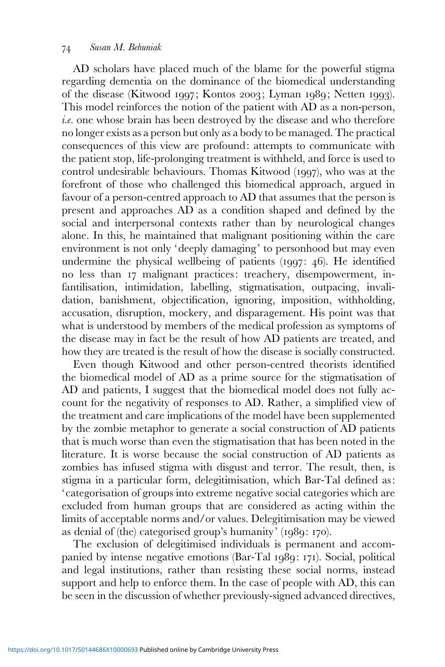AD scholars have placed much of the blame for the powerful stigma regarding dementia on the dominance of the biomedical understanding of the disease (Kitwood 1997; Kontos 2003; Lyman 1989; Netten 1993). This model reinforces the notion of the patient with AD as a non-person, i.e. one whose brain has been destroyed by the disease and who therefore no longer exists as a person but only as a body to be managed. The practical consequences of this view are profound: attempts to communicate with the patient stop, life-prolonging treatment is withheld, and force is used to control undesirable behaviours. Thomas Kitwood (1997), who was at the forefront of those who challenged this biomedical approach, argued in favour of a person-centred approach to AD that assumes that the person is present and approaches AD as a condition shaped and defined by the social and interpersonal contexts rather than by neurological changes alone. In this, he maintained that malignant positioning within the care environment is not only 'deeply damaging' to personhood but may even undermine the physical wellbeing of patients (1997: 46). He identified no less than 17 malignant practices: treachery, disempowerment, infantilisation, intimidation, labelling, stigmatisation, outpacing, invalidation, banishment, objectification, ignoring, imposition, withholding, accusation, disruption, mockery, and disparagement. His point was that what is understood by members of the medical profession as symptoms of the disease may in fact be the result of how AD patients are treated, and how they are treated is the result of how the disease is socially constructed.

Even though Kitwood and other person-centred theorists identified the biomedical model of AD as a prime source for the stigmatisation of AD and patients, I suggest that the biomedical model does not fully account for the negativity of responses to AD. Rather, a simplified view of the treatment and care implications of the model have been supplemented by the zombie metaphor to generate a social construction of AD patients that is much worse than even the stigmatisation that has been noted in the literature. It is worse because the social construction of AD patients as zombies has infused stigma with disgust and terror. The result, then, is stigma in a particular form, delegitimisation, which Bar-Tal defined as: 'categorisation of groups into extreme negative social categories which are excluded from human groups that are considered as acting within the limits of acceptable norms and/or values. Delegitimisation may be viewed as denial of (the) categorised group's humanity' (1989: 170).

The exclusion of delegitimised individuals is permanent and accompanied by intense negative emotions (Bar-Tal 1989: 171). Social, political and legal institutions, rather than resisting these social norms, instead support and help to enforce them. In the case of people with AD, this can be seen in the discussion of whether previously-signed advanced directives,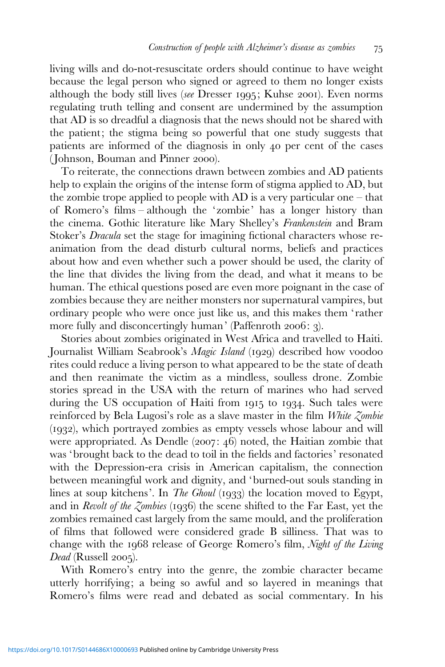living wills and do-not-resuscitate orders should continue to have weight because the legal person who signed or agreed to them no longer exists although the body still lives (see Dresser 1995; Kuhse 2001). Even norms regulating truth telling and consent are undermined by the assumption that AD is so dreadful a diagnosis that the news should not be shared with the patient; the stigma being so powerful that one study suggests that patients are informed of the diagnosis in only 40 per cent of the cases ( Johnson, Bouman and Pinner 2000).

To reiterate, the connections drawn between zombies and AD patients help to explain the origins of the intense form of stigma applied to AD, but the zombie trope applied to people with AD is a very particular one – that of Romero's films – although the 'zombie' has a longer history than the cinema. Gothic literature like Mary Shelley's Frankenstein and Bram Stoker's Dracula set the stage for imagining fictional characters whose reanimation from the dead disturb cultural norms, beliefs and practices about how and even whether such a power should be used, the clarity of the line that divides the living from the dead, and what it means to be human. The ethical questions posed are even more poignant in the case of zombies because they are neither monsters nor supernatural vampires, but ordinary people who were once just like us, and this makes them ' rather more fully and disconcertingly human' (Paffenroth 2006: 3).

Stories about zombies originated in West Africa and travelled to Haiti. Journalist William Seabrook's Magic Island (1929) described how voodoo rites could reduce a living person to what appeared to be the state of death and then reanimate the victim as a mindless, soulless drone. Zombie stories spread in the USA with the return of marines who had served during the US occupation of Haiti from 1915 to 1934. Such tales were reinforced by Bela Lugosi's role as a slave master in the film White Zombie (1932), which portrayed zombies as empty vessels whose labour and will were appropriated. As Dendle (2007: 46) noted, the Haitian zombie that was 'brought back to the dead to toil in the fields and factories' resonated with the Depression-era crisis in American capitalism, the connection between meaningful work and dignity, and 'burned-out souls standing in lines at soup kitchens'. In The Ghoul (1933) the location moved to Egypt, and in Revolt of the Zombies (1936) the scene shifted to the Far East, yet the zombies remained cast largely from the same mould, and the proliferation of films that followed were considered grade B silliness. That was to change with the 1968 release of George Romero's film, Night of the Living Dead (Russell 2005).

With Romero's entry into the genre, the zombie character became utterly horrifying; a being so awful and so layered in meanings that Romero's films were read and debated as social commentary. In his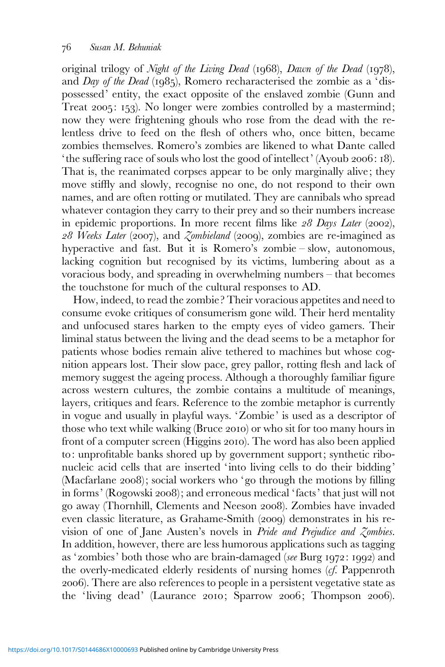original trilogy of Night of the Living Dead (1968), Dawn of the Dead (1978), and Day of the Dead (1985), Romero recharacterised the zombie as a 'dispossessed' entity, the exact opposite of the enslaved zombie (Gunn and Treat 2005: 153). No longer were zombies controlled by a mastermind; now they were frightening ghouls who rose from the dead with the relentless drive to feed on the flesh of others who, once bitten, became zombies themselves. Romero's zombies are likened to what Dante called 'the suffering race of souls who lost the good of intellect' (Ayoub 2006: 18). That is, the reanimated corpses appear to be only marginally alive; they move stiffly and slowly, recognise no one, do not respond to their own names, and are often rotting or mutilated. They are cannibals who spread whatever contagion they carry to their prey and so their numbers increase in epidemic proportions. In more recent films like 28 Days Later (2002), 28 Weeks Later (2007), and Zombieland (2009), zombies are re-imagined as hyperactive and fast. But it is Romero's zombie – slow, autonomous, lacking cognition but recognised by its victims, lumbering about as a voracious body, and spreading in overwhelming numbers – that becomes the touchstone for much of the cultural responses to AD.

How, indeed, to read the zombie? Their voracious appetites and need to consume evoke critiques of consumerism gone wild. Their herd mentality and unfocused stares harken to the empty eyes of video gamers. Their liminal status between the living and the dead seems to be a metaphor for patients whose bodies remain alive tethered to machines but whose cognition appears lost. Their slow pace, grey pallor, rotting flesh and lack of memory suggest the ageing process. Although a thoroughly familiar figure across western cultures, the zombie contains a multitude of meanings, layers, critiques and fears. Reference to the zombie metaphor is currently in vogue and usually in playful ways. 'Zombie' is used as a descriptor of those who text while walking (Bruce 2010) or who sit for too many hours in front of a computer screen (Higgins 2010). The word has also been applied to: unprofitable banks shored up by government support; synthetic ribonucleic acid cells that are inserted 'into living cells to do their bidding' (Macfarlane 2008); social workers who 'go through the motions by filling in forms' (Rogowski 2008); and erroneous medical 'facts' that just will not go away (Thornhill, Clements and Neeson 2008). Zombies have invaded even classic literature, as Grahame-Smith (2009) demonstrates in his revision of one of Jane Austen's novels in Pride and Prejudice and Zombies. In addition, however, there are less humorous applications such as tagging as 'zombies' both those who are brain-damaged (see Burg 1972: 1992) and the overly-medicated elderly residents of nursing homes (cf. Pappenroth 2006). There are also references to people in a persistent vegetative state as the 'living dead' (Laurance 2010; Sparrow 2006; Thompson 2006).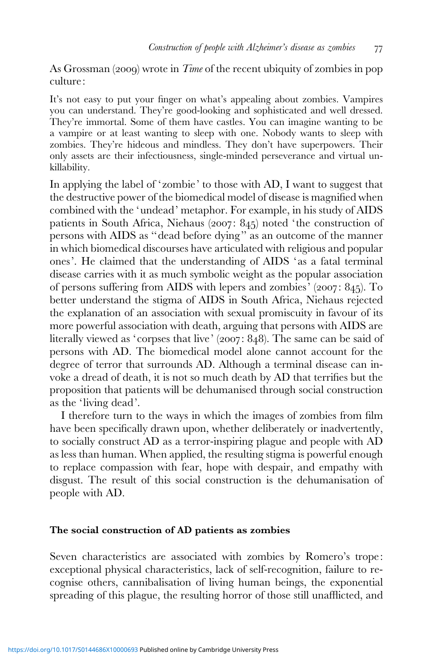# As Grossman (2009) wrote in Time of the recent ubiquity of zombies in pop culture:

It's not easy to put your finger on what's appealing about zombies. Vampires you can understand. They're good-looking and sophisticated and well dressed. They're immortal. Some of them have castles. You can imagine wanting to be a vampire or at least wanting to sleep with one. Nobody wants to sleep with zombies. They're hideous and mindless. They don't have superpowers. Their only assets are their infectiousness, single-minded perseverance and virtual unkillability.

In applying the label of 'zombie' to those with AD, I want to suggest that the destructive power of the biomedical model of disease is magnified when combined with the 'undead' metaphor. For example, in his study of AIDS patients in South Africa, Niehaus (2007: 845) noted 'the construction of persons with AIDS as ''dead before dying'' as an outcome of the manner in which biomedical discourses have articulated with religious and popular ones'. He claimed that the understanding of AIDS 'as a fatal terminal disease carries with it as much symbolic weight as the popular association of persons suffering from AIDS with lepers and zombies' (2007: 845). To better understand the stigma of AIDS in South Africa, Niehaus rejected the explanation of an association with sexual promiscuity in favour of its more powerful association with death, arguing that persons with AIDS are literally viewed as 'corpses that live' (2007: 848). The same can be said of persons with AD. The biomedical model alone cannot account for the degree of terror that surrounds AD. Although a terminal disease can invoke a dread of death, it is not so much death by AD that terrifies but the proposition that patients will be dehumanised through social construction as the 'living dead'.

I therefore turn to the ways in which the images of zombies from film have been specifically drawn upon, whether deliberately or inadvertently, to socially construct AD as a terror-inspiring plague and people with AD as less than human. When applied, the resulting stigma is powerful enough to replace compassion with fear, hope with despair, and empathy with disgust. The result of this social construction is the dehumanisation of people with AD.

### The social construction of AD patients as zombies

Seven characteristics are associated with zombies by Romero's trope: exceptional physical characteristics, lack of self-recognition, failure to recognise others, cannibalisation of living human beings, the exponential spreading of this plague, the resulting horror of those still unafflicted, and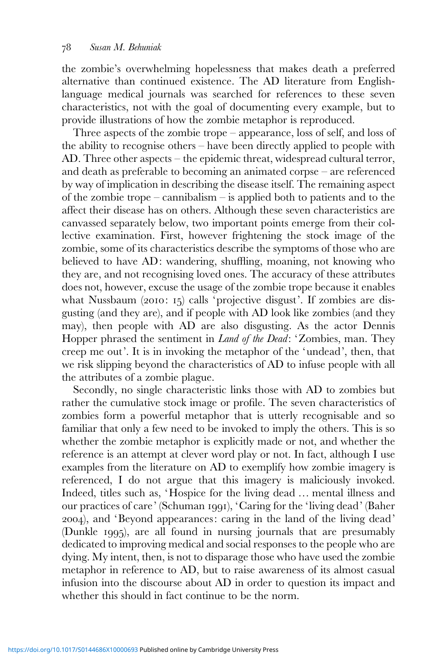the zombie's overwhelming hopelessness that makes death a preferred alternative than continued existence. The AD literature from Englishlanguage medical journals was searched for references to these seven characteristics, not with the goal of documenting every example, but to provide illustrations of how the zombie metaphor is reproduced.

Three aspects of the zombie trope – appearance, loss of self, and loss of the ability to recognise others – have been directly applied to people with AD. Three other aspects – the epidemic threat, widespread cultural terror, and death as preferable to becoming an animated corpse – are referenced by way of implication in describing the disease itself. The remaining aspect of the zombie trope – cannibalism – is applied both to patients and to the affect their disease has on others. Although these seven characteristics are canvassed separately below, two important points emerge from their collective examination. First, however frightening the stock image of the zombie, some of its characteristics describe the symptoms of those who are believed to have AD: wandering, shuffling, moaning, not knowing who they are, and not recognising loved ones. The accuracy of these attributes does not, however, excuse the usage of the zombie trope because it enables what Nussbaum (2010: 15) calls 'projective disgust'. If zombies are disgusting (and they are), and if people with AD look like zombies (and they may), then people with AD are also disgusting. As the actor Dennis Hopper phrased the sentiment in *Land of the Dead*: 'Zombies, man. They creep me out'. It is in invoking the metaphor of the 'undead', then, that we risk slipping beyond the characteristics of AD to infuse people with all the attributes of a zombie plague.

Secondly, no single characteristic links those with AD to zombies but rather the cumulative stock image or profile. The seven characteristics of zombies form a powerful metaphor that is utterly recognisable and so familiar that only a few need to be invoked to imply the others. This is so whether the zombie metaphor is explicitly made or not, and whether the reference is an attempt at clever word play or not. In fact, although I use examples from the literature on AD to exemplify how zombie imagery is referenced, I do not argue that this imagery is maliciously invoked. Indeed, titles such as, 'Hospice for the living dead … mental illness and our practices of care' (Schuman 1991), 'Caring for the 'living dead' (Baher 2004), and 'Beyond appearances: caring in the land of the living dead' (Dunkle 1995), are all found in nursing journals that are presumably dedicated to improving medical and social responses to the people who are dying. My intent, then, is not to disparage those who have used the zombie metaphor in reference to AD, but to raise awareness of its almost casual infusion into the discourse about AD in order to question its impact and whether this should in fact continue to be the norm.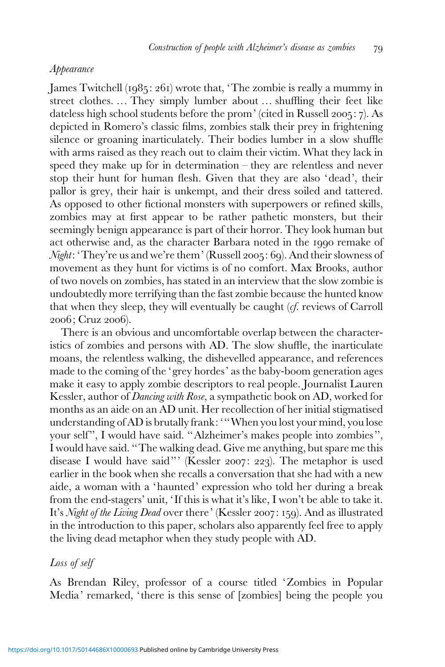## **Appearance**

James Twitchell (1985: 261) wrote that, 'The zombie is really a mummy in street clothes. … They simply lumber about … shuffling their feet like dateless high school students before the prom' (cited in Russell 2005: 7). As depicted in Romero's classic films, zombies stalk their prey in frightening silence or groaning inarticulately. Their bodies lumber in a slow shuffle with arms raised as they reach out to claim their victim. What they lack in speed they make up for in determination – they are relentless and never stop their hunt for human flesh. Given that they are also 'dead', their pallor is grey, their hair is unkempt, and their dress soiled and tattered. As opposed to other fictional monsters with superpowers or refined skills, zombies may at first appear to be rather pathetic monsters, but their seemingly benign appearance is part of their horror. They look human but act otherwise and, as the character Barbara noted in the 1990 remake of Night: 'They're us and we're them' (Russell 2005: 69). And their slowness of movement as they hunt for victims is of no comfort. Max Brooks, author of two novels on zombies, has stated in an interview that the slow zombie is undoubtedly more terrifying than the fast zombie because the hunted know that when they sleep, they will eventually be caught (cf. reviews of Carroll 2006; Cruz 2006).

There is an obvious and uncomfortable overlap between the characteristics of zombies and persons with AD. The slow shuffle, the inarticulate moans, the relentless walking, the dishevelled appearance, and references made to the coming of the 'grey hordes' as the baby-boom generation ages make it easy to apply zombie descriptors to real people. Journalist Lauren Kessler, author of Dancing with Rose, a sympathetic book on AD, worked for months as an aide on an AD unit. Her recollection of her initial stigmatised understanding of AD is brutally frank: '''When you lost your mind, you lose your self'', I would have said. ''Alzheimer's makes people into zombies'', I would have said. ''The walking dead. Give me anything, but spare me this disease I would have said"' (Kessler 2007: 223). The metaphor is used earlier in the book when she recalls a conversation that she had with a new aide, a woman with a 'haunted' expression who told her during a break from the end-stagers' unit, ' If this is what it's like, I won't be able to take it. It's Night of the Living Dead over there' (Kessler 2007: 159). And as illustrated in the introduction to this paper, scholars also apparently feel free to apply the living dead metaphor when they study people with AD.

# Loss of self

As Brendan Riley, professor of a course titled 'Zombies in Popular Media' remarked, 'there is this sense of [zombies] being the people you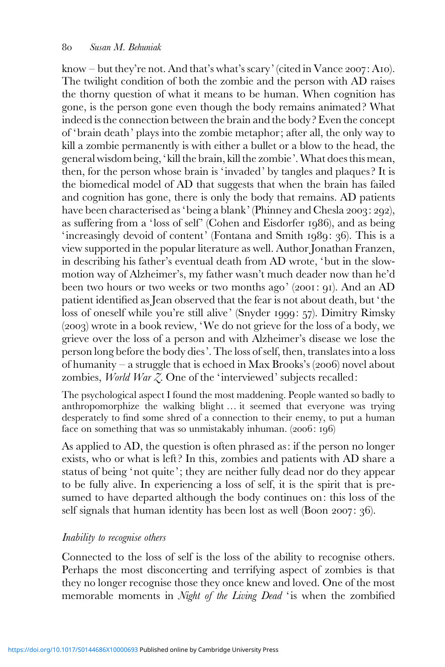know – but they're not. And that's what's scary' (cited in Vance 2007: A10). The twilight condition of both the zombie and the person with AD raises the thorny question of what it means to be human. When cognition has gone, is the person gone even though the body remains animated ? What indeed is the connection between the brain and the body? Even the concept of 'brain death' plays into the zombie metaphor; after all, the only way to kill a zombie permanently is with either a bullet or a blow to the head, the general wisdom being, 'kill the brain, kill the zombie'.What does this mean, then, for the person whose brain is 'invaded' by tangles and plaques ? It is the biomedical model of AD that suggests that when the brain has failed and cognition has gone, there is only the body that remains. AD patients have been characterised as 'being a blank' (Phinney and Chesla 2003: 292), as suffering from a 'loss of self' (Cohen and Eisdorfer 1986), and as being 'increasingly devoid of content' (Fontana and Smith 1989: 36). This is a view supported in the popular literature as well. Author Jonathan Franzen, in describing his father's eventual death from AD wrote, 'but in the slowmotion way of Alzheimer's, my father wasn't much deader now than he'd been two hours or two weeks or two months ago' (2001: 91). And an AD patient identified as Jean observed that the fear is not about death, but 'the loss of oneself while you're still alive' (Snyder 1999: 57). Dimitry Rimsky (2003) wrote in a book review, 'We do not grieve for the loss of a body, we grieve over the loss of a person and with Alzheimer's disease we lose the person long before the body dies'. The loss of self, then, translates into a loss of humanity – a struggle that is echoed in Max Brooks's (2006) novel about zombies, *World War*  $\zeta$ . One of the 'interviewed' subjects recalled:

The psychological aspect I found the most maddening. People wanted so badly to anthropomorphize the walking blight … it seemed that everyone was trying desperately to find some shred of a connection to their enemy, to put a human face on something that was so unmistakably inhuman. (2006: 196)

As applied to AD, the question is often phrased as: if the person no longer exists, who or what is left? In this, zombies and patients with AD share a status of being 'not quite'; they are neither fully dead nor do they appear to be fully alive. In experiencing a loss of self, it is the spirit that is presumed to have departed although the body continues on: this loss of the self signals that human identity has been lost as well (Boon 2007: 36).

# Inability to recognise others

Connected to the loss of self is the loss of the ability to recognise others. Perhaps the most disconcerting and terrifying aspect of zombies is that they no longer recognise those they once knew and loved. One of the most memorable moments in *Night of the Living Dead* 'is when the zombified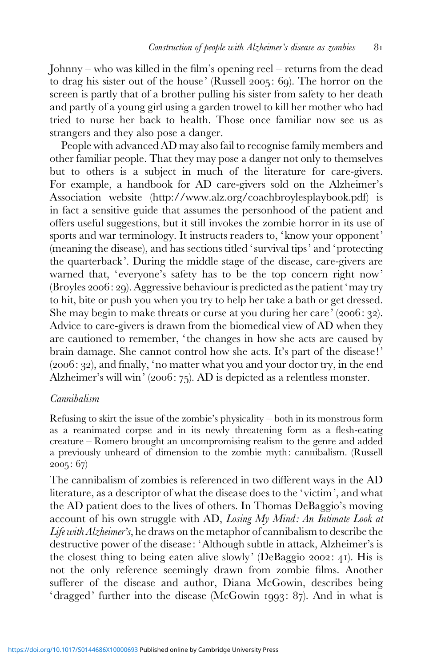$Johnny - who was killed in the film's opening reel - returns from the dead$ to drag his sister out of the house' (Russell 2005: 69). The horror on the screen is partly that of a brother pulling his sister from safety to her death and partly of a young girl using a garden trowel to kill her mother who had tried to nurse her back to health. Those once familiar now see us as strangers and they also pose a danger.

People with advanced AD may also fail to recognise family members and other familiar people. That they may pose a danger not only to themselves but to others is a subject in much of the literature for care-givers. For example, a handbook for AD care-givers sold on the Alzheimer's Association website (http://www.alz.org/coachbroylesplaybook.pdf) is in fact a sensitive guide that assumes the personhood of the patient and offers useful suggestions, but it still invokes the zombie horror in its use of sports and war terminology. It instructs readers to, 'know your opponent' (meaning the disease), and has sections titled ' survival tips' and 'protecting the quarterback'. During the middle stage of the disease, care-givers are warned that, 'everyone's safety has to be the top concern right now' (Broyles 2006: 29). Aggressive behaviour is predicted as the patient 'may try to hit, bite or push you when you try to help her take a bath or get dressed. She may begin to make threats or curse at you during her care' (2006: 32). Advice to care-givers is drawn from the biomedical view of AD when they are cautioned to remember, 'the changes in how she acts are caused by brain damage. She cannot control how she acts. It's part of the disease!' (2006: 32), and finally, 'no matter what you and your doctor try, in the end Alzheimer's will win' (2006: 75). AD is depicted as a relentless monster.

### Cannibalism

Refusing to skirt the issue of the zombie's physicality – both in its monstrous form as a reanimated corpse and in its newly threatening form as a flesh-eating creature – Romero brought an uncompromising realism to the genre and added a previously unheard of dimension to the zombie myth: cannibalism. (Russell 2005: 67)

The cannibalism of zombies is referenced in two different ways in the AD literature, as a descriptor of what the disease does to the 'victim', and what the AD patient does to the lives of others. In Thomas DeBaggio's moving account of his own struggle with AD, Losing My Mind: An Intimate Look at Life with Alzheimer's, he draws on the metaphor of cannibalism to describe the destructive power of the disease: 'Although subtle in attack, Alzheimer's is the closest thing to being eaten alive slowly' (DeBaggio 2002: 41). His is not the only reference seemingly drawn from zombie films. Another sufferer of the disease and author, Diana McGowin, describes being 'dragged' further into the disease (McGowin 1993: 87). And in what is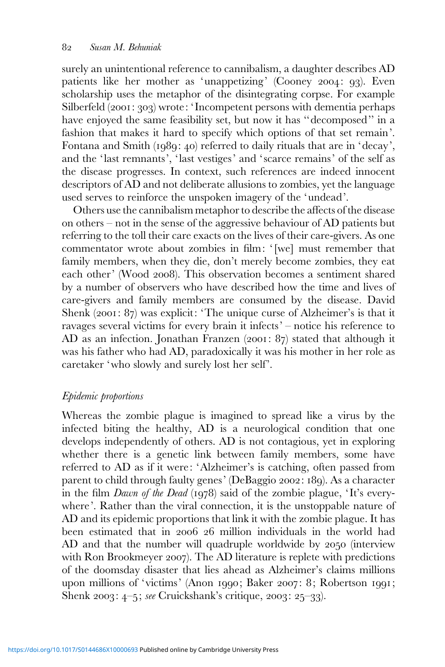surely an unintentional reference to cannibalism, a daughter describes AD patients like her mother as 'unappetizing' (Cooney 2004: 93). Even scholarship uses the metaphor of the disintegrating corpse. For example Silberfeld (2001: 303) wrote: ' Incompetent persons with dementia perhaps have enjoyed the same feasibility set, but now it has "decomposed" in a fashion that makes it hard to specify which options of that set remain'. Fontana and Smith (1989: 40) referred to daily rituals that are in 'decay', and the 'last remnants', 'last vestiges' and ' scarce remains' of the self as the disease progresses. In context, such references are indeed innocent descriptors of AD and not deliberate allusions to zombies, yet the language used serves to reinforce the unspoken imagery of the 'undead'.

Others use the cannibalism metaphor to describe the affects of the disease on others – not in the sense of the aggressive behaviour of AD patients but referring to the toll their care exacts on the lives of their care-givers. As one commentator wrote about zombies in film: '[we] must remember that family members, when they die, don't merely become zombies, they eat each other' (Wood 2008). This observation becomes a sentiment shared by a number of observers who have described how the time and lives of care-givers and family members are consumed by the disease. David Shenk (2001: 87) was explicit: 'The unique curse of Alzheimer's is that it ravages several victims for every brain it infects' – notice his reference to AD as an infection. Jonathan Franzen (2001: 87) stated that although it was his father who had AD, paradoxically it was his mother in her role as caretaker 'who slowly and surely lost her self'.

# Epidemic proportions

Whereas the zombie plague is imagined to spread like a virus by the infected biting the healthy, AD is a neurological condition that one develops independently of others. AD is not contagious, yet in exploring whether there is a genetic link between family members, some have referred to AD as if it were: 'Alzheimer's is catching, often passed from parent to child through faulty genes' (DeBaggio 2002: 189). As a character in the film Dawn of the Dead (1978) said of the zombie plague, ' It's everywhere'. Rather than the viral connection, it is the unstoppable nature of AD and its epidemic proportions that link it with the zombie plague. It has been estimated that in 2006 26 million individuals in the world had AD and that the number will quadruple worldwide by 2050 (interview with Ron Brookmeyer 2007). The AD literature is replete with predictions of the doomsday disaster that lies ahead as Alzheimer's claims millions upon millions of 'victims' (Anon 1990; Baker 2007: 8; Robertson 1991; Shenk 2003: 4–5; see Cruickshank's critique, 2003: 25–33).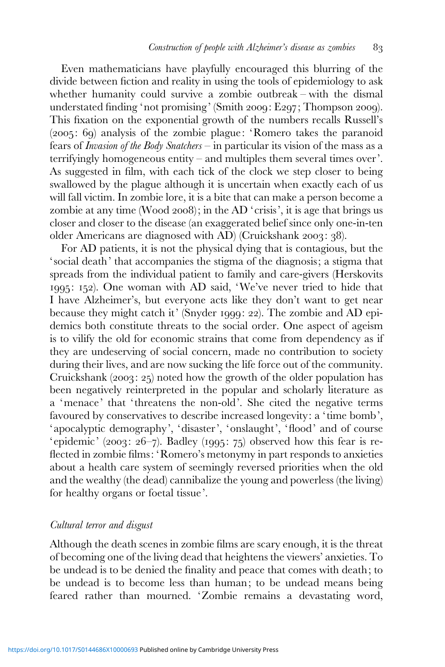Even mathematicians have playfully encouraged this blurring of the divide between fiction and reality in using the tools of epidemiology to ask whether humanity could survive a zombie outbreak – with the dismal understated finding 'not promising' (Smith 2009: E297; Thompson 2009). This fixation on the exponential growth of the numbers recalls Russell's (2005: 69) analysis of the zombie plague: 'Romero takes the paranoid fears of *Invasion of the Body Snatchers* – in particular its vision of the mass as a terrifyingly homogeneous entity – and multiples them several times over'. As suggested in film, with each tick of the clock we step closer to being swallowed by the plague although it is uncertain when exactly each of us will fall victim. In zombie lore, it is a bite that can make a person become a zombie at any time (Wood 2008); in the AD 'crisis', it is age that brings us closer and closer to the disease (an exaggerated belief since only one-in-ten older Americans are diagnosed with AD) (Cruickshank 2003: 38).

For AD patients, it is not the physical dying that is contagious, but the ' social death' that accompanies the stigma of the diagnosis; a stigma that spreads from the individual patient to family and care-givers (Herskovits 1995: 152). One woman with AD said, 'We've never tried to hide that I have Alzheimer's, but everyone acts like they don't want to get near because they might catch it' (Snyder 1999: 22). The zombie and AD epidemics both constitute threats to the social order. One aspect of ageism is to vilify the old for economic strains that come from dependency as if they are undeserving of social concern, made no contribution to society during their lives, and are now sucking the life force out of the community. Cruickshank (2003: 25) noted how the growth of the older population has been negatively reinterpreted in the popular and scholarly literature as a 'menace' that 'threatens the non-old'. She cited the negative terms favoured by conservatives to describe increased longevity: a 'time bomb', 'apocalyptic demography', 'disaster', 'onslaught', 'flood' and of course 'epidemic' (2003: 26–7). Badley (1995: 75) observed how this fear is reflected in zombie films: 'Romero's metonymy in part responds to anxieties about a health care system of seemingly reversed priorities when the old and the wealthy (the dead) cannibalize the young and powerless (the living) for healthy organs or foetal tissue'.

## Cultural terror and disgust

Although the death scenes in zombie films are scary enough, it is the threat of becoming one of the living dead that heightens the viewers' anxieties. To be undead is to be denied the finality and peace that comes with death; to be undead is to become less than human; to be undead means being feared rather than mourned. 'Zombie remains a devastating word,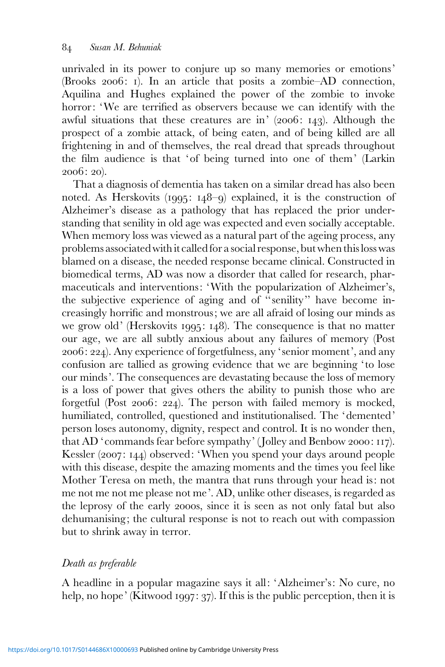unrivaled in its power to conjure up so many memories or emotions' (Brooks 2006: 1). In an article that posits a zombie–AD connection, Aquilina and Hughes explained the power of the zombie to invoke horror: 'We are terrified as observers because we can identify with the awful situations that these creatures are in' (2006: 143). Although the prospect of a zombie attack, of being eaten, and of being killed are all frightening in and of themselves, the real dread that spreads throughout the film audience is that 'of being turned into one of them' (Larkin 2006: 20).

That a diagnosis of dementia has taken on a similar dread has also been noted. As Herskovits (1995: 148–9) explained, it is the construction of Alzheimer's disease as a pathology that has replaced the prior understanding that senility in old age was expected and even socially acceptable. When memory loss was viewed as a natural part of the ageing process, any problems associated with it called for a social response, but whenthis loss was blamed on a disease, the needed response became clinical. Constructed in biomedical terms, AD was now a disorder that called for research, pharmaceuticals and interventions: 'With the popularization of Alzheimer's, the subjective experience of aging and of '' senility'' have become increasingly horrific and monstrous; we are all afraid of losing our minds as we grow old' (Herskovits 1995: 148). The consequence is that no matter our age, we are all subtly anxious about any failures of memory (Post 2006: 224). Any experience of forgetfulness, any ' senior moment', and any confusion are tallied as growing evidence that we are beginning 'to lose our minds'. The consequences are devastating because the loss of memory is a loss of power that gives others the ability to punish those who are forgetful (Post 2006: 224). The person with failed memory is mocked, humiliated, controlled, questioned and institutionalised. The 'demented' person loses autonomy, dignity, respect and control. It is no wonder then, that AD 'commands fear before sympathy' ( Jolley and Benbow 2000: 117). Kessler (2007: 144) observed: 'When you spend your days around people with this disease, despite the amazing moments and the times you feel like Mother Teresa on meth, the mantra that runs through your head is: not me not me not me please not me'. AD, unlike other diseases, is regarded as the leprosy of the early 2000s, since it is seen as not only fatal but also dehumanising; the cultural response is not to reach out with compassion but to shrink away in terror.

# Death as preferable

A headline in a popular magazine says it all: 'Alzheimer's: No cure, no help, no hope' (Kitwood 1997: 37). If this is the public perception, then it is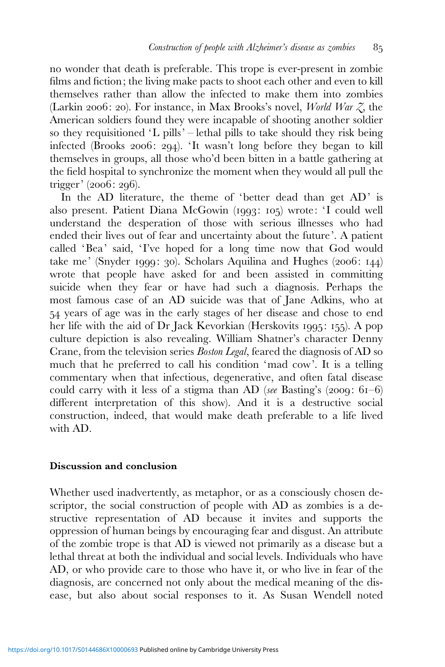no wonder that death is preferable. This trope is ever-present in zombie films and fiction; the living make pacts to shoot each other and even to kill themselves rather than allow the infected to make them into zombies (Larkin 2006: 20). For instance, in Max Brooks's novel, *World War*  $\zeta$ , the American soldiers found they were incapable of shooting another soldier so they requisitioned 'L pills' – lethal pills to take should they risk being infected (Brooks 2006: 294). 'It wasn't long before they began to kill themselves in groups, all those who'd been bitten in a battle gathering at the field hospital to synchronize the moment when they would all pull the trigger' (2006: 296).

In the AD literature, the theme of 'better dead than get AD' is also present. Patient Diana McGowin (1993: 105) wrote: 'I could well understand the desperation of those with serious illnesses who had ended their lives out of fear and uncertainty about the future'. A patient called 'Bea' said, 'I've hoped for a long time now that God would take me' (Snyder 1999: 30). Scholars Aquilina and Hughes (2006: 144) wrote that people have asked for and been assisted in committing suicide when they fear or have had such a diagnosis. Perhaps the most famous case of an AD suicide was that of Jane Adkins, who at 54 years of age was in the early stages of her disease and chose to end her life with the aid of Dr Jack Kevorkian (Herskovits 1995: 155). A pop culture depiction is also revealing. William Shatner's character Denny Crane, from the television series Boston Legal, feared the diagnosis of AD so much that he preferred to call his condition 'mad cow'. It is a telling commentary when that infectious, degenerative, and often fatal disease could carry with it less of a stigma than AD (see Basting's  $(2009: 61-6)$ ) different interpretation of this show). And it is a destructive social construction, indeed, that would make death preferable to a life lived with AD.

## Discussion and conclusion

Whether used inadvertently, as metaphor, or as a consciously chosen descriptor, the social construction of people with AD as zombies is a destructive representation of AD because it invites and supports the oppression of human beings by encouraging fear and disgust. An attribute of the zombie trope is that AD is viewed not primarily as a disease but a lethal threat at both the individual and social levels. Individuals who have AD, or who provide care to those who have it, or who live in fear of the diagnosis, are concerned not only about the medical meaning of the disease, but also about social responses to it. As Susan Wendell noted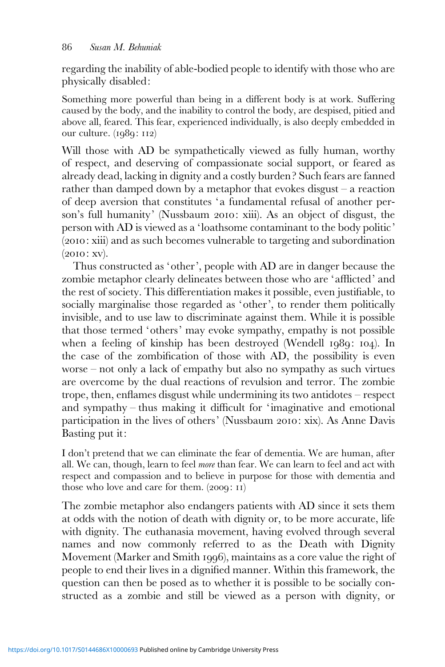regarding the inability of able-bodied people to identify with those who are physically disabled:

Something more powerful than being in a different body is at work. Suffering caused by the body, and the inability to control the body, are despised, pitied and above all, feared. This fear, experienced individually, is also deeply embedded in our culture. (1989: 112)

Will those with AD be sympathetically viewed as fully human, worthy of respect, and deserving of compassionate social support, or feared as already dead, lacking in dignity and a costly burden? Such fears are fanned rather than damped down by a metaphor that evokes disgust – a reaction of deep aversion that constitutes 'a fundamental refusal of another person's full humanity' (Nussbaum 2010: xiii). As an object of disgust, the person with AD is viewed as a 'loathsome contaminant to the body politic' (2010: xiii) and as such becomes vulnerable to targeting and subordination  $(2010: xy).$ 

Thus constructed as 'other', people with AD are in danger because the zombie metaphor clearly delineates between those who are 'afflicted' and the rest of society. This differentiation makes it possible, even justifiable, to socially marginalise those regarded as 'other', to render them politically invisible, and to use law to discriminate against them. While it is possible that those termed 'others' may evoke sympathy, empathy is not possible when a feeling of kinship has been destroyed (Wendell 1989: 104). In the case of the zombification of those with AD, the possibility is even worse – not only a lack of empathy but also no sympathy as such virtues are overcome by the dual reactions of revulsion and terror. The zombie trope, then, enflames disgust while undermining its two antidotes – respect and sympathy – thus making it difficult for 'imaginative and emotional participation in the lives of others' (Nussbaum 2010: xix). As Anne Davis Basting put it:

I don't pretend that we can eliminate the fear of dementia. We are human, after all. We can, though, learn to feel more than fear. We can learn to feel and act with respect and compassion and to believe in purpose for those with dementia and those who love and care for them. (2009: 11)

The zombie metaphor also endangers patients with AD since it sets them at odds with the notion of death with dignity or, to be more accurate, life with dignity. The euthanasia movement, having evolved through several names and now commonly referred to as the Death with Dignity Movement (Marker and Smith 1996), maintains as a core value the right of people to end their lives in a dignified manner. Within this framework, the question can then be posed as to whether it is possible to be socially constructed as a zombie and still be viewed as a person with dignity, or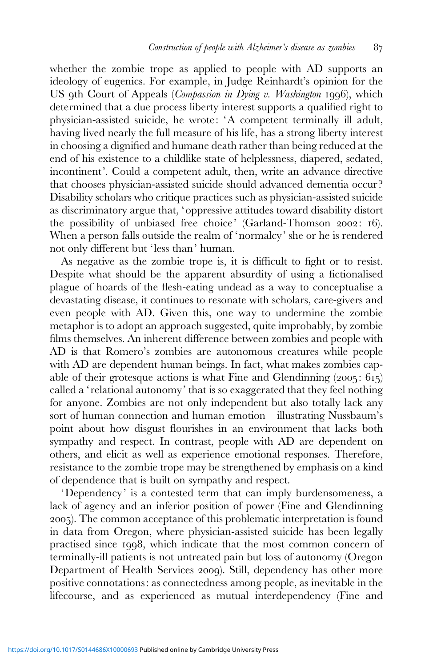whether the zombie trope as applied to people with AD supports an ideology of eugenics. For example, in Judge Reinhardt's opinion for the US 9th Court of Appeals (Compassion in Dying v. Washington 1996), which determined that a due process liberty interest supports a qualified right to physician-assisted suicide, he wrote: 'A competent terminally ill adult, having lived nearly the full measure of his life, has a strong liberty interest in choosing a dignified and humane death rather than being reduced at the end of his existence to a childlike state of helplessness, diapered, sedated, incontinent'. Could a competent adult, then, write an advance directive that chooses physician-assisted suicide should advanced dementia occur? Disability scholars who critique practices such as physician-assisted suicide as discriminatory argue that, ' oppressive attitudes toward disability distort the possibility of unbiased free choice' (Garland-Thomson 2002: 16). When a person falls outside the realm of 'normalcy' she or he is rendered not only different but 'less than' human.

As negative as the zombie trope is, it is difficult to fight or to resist. Despite what should be the apparent absurdity of using a fictionalised plague of hoards of the flesh-eating undead as a way to conceptualise a devastating disease, it continues to resonate with scholars, care-givers and even people with AD. Given this, one way to undermine the zombie metaphor is to adopt an approach suggested, quite improbably, by zombie films themselves. An inherent difference between zombies and people with AD is that Romero's zombies are autonomous creatures while people with AD are dependent human beings. In fact, what makes zombies capable of their grotesque actions is what Fine and Glendinning (2005:  $615$ ) called a ' relational autonomy' that is so exaggerated that they feel nothing for anyone. Zombies are not only independent but also totally lack any sort of human connection and human emotion – illustrating Nussbaum's point about how disgust flourishes in an environment that lacks both sympathy and respect. In contrast, people with AD are dependent on others, and elicit as well as experience emotional responses. Therefore, resistance to the zombie trope may be strengthened by emphasis on a kind of dependence that is built on sympathy and respect.

'Dependency' is a contested term that can imply burdensomeness, a lack of agency and an inferior position of power (Fine and Glendinning 2005). The common acceptance of this problematic interpretation is found in data from Oregon, where physician-assisted suicide has been legally practised since 1998, which indicate that the most common concern of terminally-ill patients is not untreated pain but loss of autonomy (Oregon Department of Health Services 2009). Still, dependency has other more positive connotations: as connectedness among people, as inevitable in the lifecourse, and as experienced as mutual interdependency (Fine and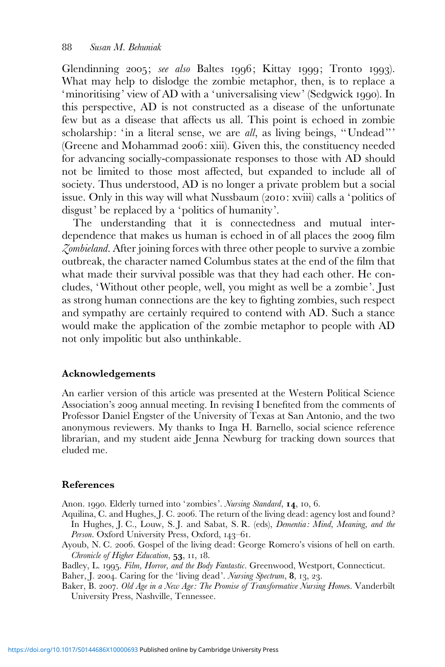Glendinning 2005; see also Baltes 1996; Kittay 1999; Tronto 1993). What may help to dislodge the zombie metaphor, then, is to replace a 'minoritising' view of AD with a 'universalising view' (Sedgwick 1990). In this perspective, AD is not constructed as a disease of the unfortunate few but as a disease that affects us all. This point is echoed in zombie scholarship: 'in a literal sense, we are *all*, as living beings, "Undead"' (Greene and Mohammad 2006: xiii). Given this, the constituency needed for advancing socially-compassionate responses to those with AD should not be limited to those most affected, but expanded to include all of society. Thus understood, AD is no longer a private problem but a social issue. Only in this way will what Nussbaum (2010: xviii) calls a 'politics of disgust' be replaced by a 'politics of humanity'.

The understanding that it is connectedness and mutual interdependence that makes us human is echoed in of all places the 2009 film Zombieland. After joining forces with three other people to survive a zombie outbreak, the character named Columbus states at the end of the film that what made their survival possible was that they had each other. He concludes, 'Without other people, well, you might as well be a zombie'. Just as strong human connections are the key to fighting zombies, such respect and sympathy are certainly required to contend with AD. Such a stance would make the application of the zombie metaphor to people with AD not only impolitic but also unthinkable.

### Acknowledgements

An earlier version of this article was presented at the Western Political Science Association's 2009 annual meeting. In revising I benefited from the comments of Professor Daniel Engster of the University of Texas at San Antonio, and the two anonymous reviewers. My thanks to Inga H. Barnello, social science reference librarian, and my student aide Jenna Newburg for tracking down sources that eluded me.

#### References

Anon. 1990. Elderly turned into 'zombies'. Nursing Standard, 14, 10, 6.

- Aquilina, C. and Hughes, J. C. 2006. The return of the living dead: agency lost and found ? In Hughes, J. C., Louw, S. J. and Sabat, S. R. (eds), *Dementia: Mind, Meaning, and the* Person. Oxford University Press, Oxford, 143-61.
- Ayoub, N. C. 2006. Gospel of the living dead: George Romero's visions of hell on earth. Chronicle of Higher Education, 53, 11, 18.
- Badley, L. 1995. Film, Horror, and the Body Fantastic. Greenwood, Westport, Connecticut.

Baher, J. 2004. Caring for the 'living dead'. Nursing Spectrum, 8, 13, 23.

Baker, B. 2007. Old Age in a New Age: The Promise of Transformative Nursing Homes. Vanderbilt University Press, Nashville, Tennessee.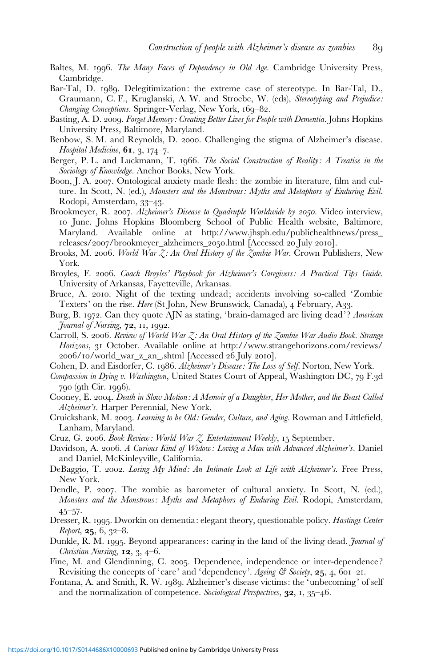- Baltes, M. 1996. The Many Faces of Dependency in Old Age. Cambridge University Press, Cambridge.
- Bar-Tal, D. 1989. Delegitimization: the extreme case of stereotype. In Bar-Tal, D., Graumann, C. F., Kruglanski, A. W. and Stroebe, W. (eds), Stereotyping and Prejudice: Changing Conceptions. Springer-Verlag, New York, 169–82.
- Basting, A. D. 2009. Forget Memory: Creating Better Lives for People with Dementia. Johns Hopkins University Press, Baltimore, Maryland.
- Benbow, S. M. and Reynolds, D. 2000. Challenging the stigma of Alzheimer's disease. Hospital Medicine,  $61$ , 3, 174-7.
- Berger, P. L. and Luckmann, T. 1966. The Social Construction of Reality: A Treatise in the Sociology of Knowledge. Anchor Books, New York.
- Boon, J. A. 2007. Ontological anxiety made flesh: the zombie in literature, film and culture. In Scott, N. (ed.), Monsters and the Monstrous: Myths and Metaphors of Enduring Evil. Rodopi, Amsterdam, 33–43.
- Brookmeyer, R. 2007. Alzheimer's Disease to Quadruple Worldwide by 2050. Video interview, 10 June. Johns Hopkins Bloomberg School of Public Health website, Baltimore, Maryland. Available online at http://www.jhsph.edu/publichealthnews/press\_ releases/2007/brookmeyer\_alzheimers\_2050.html [Accessed 20 July 2010].
- Brooks, M. 2006. World War Z: An Oral History of the Zombie War. Crown Publishers, New York.
- Broyles, F. 2006. Coach Broyles' Playbook for Alzheimer's Caregivers: A Practical Tips Guide. University of Arkansas, Fayetteville, Arkansas.
- Bruce, A. 2010. Night of the texting undead; accidents involving so-called 'Zombie Texters' on the rise. Here (St John, New Brunswick, Canada), 4 February, A33.
- Burg, B. 1972. Can they quote AJN as stating, 'brain-damaged are living dead'? *American* Journal of Nursing, 72, 11, 1992.
- Carroll, S. 2006. Review of World War Z: An Oral History of the Zombie War Audio Book. Strange Horizons, 31 October. Available online at http://www.strangehorizons.com/reviews/ 2006/10/world\_war\_z\_an\_.shtml [Accessed 26 July 2010].
- Cohen, D. and Eisdorfer, C. 1986. Alzheimer's Disease: The Loss of Self. Norton, New York.
- Compassion in Dying v. Washington, United States Court of Appeal, Washington DC, 79 F.3d 790 (9th Cir. 1996).
- Cooney, E. 2004. Death in Slow Motion: A Memoir of a Daughter, Her Mother, and the Beast Called Alzheimer's. Harper Perennial, New York.
- Cruickshank, M. 2003. Learning to be Old: Gender, Culture, and Aging. Rowman and Littlefield, Lanham, Maryland.
- Cruz, G. 2006. Book Review: World War Z. Entertainment Weekly, 15 September.
- Davidson, A. 2006. A Curious Kind of Widow: Loving a Man with Advanced Alzheimer's. Daniel and Daniel, McKinleyville, California.
- DeBaggio, T. 2002. Losing My Mind: An Intimate Look at Life with Alzheimer's. Free Press, New York.
- Dendle, P. 2007. The zombie as barometer of cultural anxiety. In Scott, N. (ed.), Monsters and the Monstrous: Myths and Metaphors of Enduring Evil. Rodopi, Amsterdam, 45–57.
- Dresser, R. 1995. Dworkin on dementia: elegant theory, questionable policy. *Hastings Center Report*, **25**, 6, 32–8.
- Dunkle, R. M. 1995. Beyond appearances: caring in the land of the living dead. *Journal of* Christian Nursing,  $12$ ,  $3$ ,  $4-6$ .
- Fine, M. and Glendinning, C. 2005. Dependence, independence or inter-dependence? Revisiting the concepts of 'care' and 'dependency'. Ageing  $\mathcal{C}$  Society, 25, 4, 601–21.
- Fontana, A. and Smith, R. W. 1989. Alzheimer's disease victims: the 'unbecoming' of self and the normalization of competence. Sociological Perspectives, 32, 1, 35–46.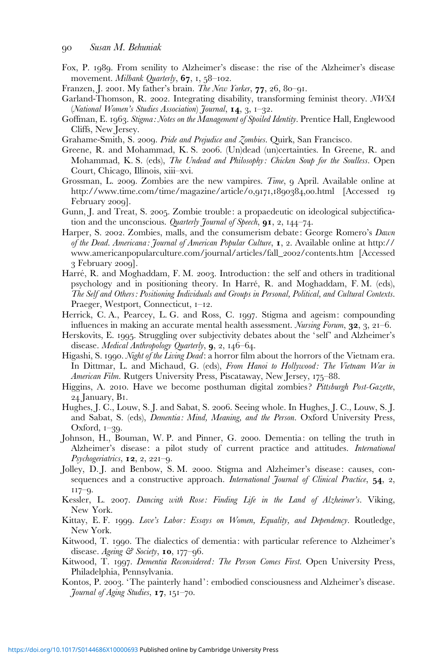- Fox, P. 1989. From senility to Alzheimer's disease: the rise of the Alzheimer's disease movement. Milbank Quarterly, 67, 1, 58-102.
- Franzen, J. 2001. My father's brain. The New Yorker,  $77, 26, 80$ -91.
- Garland-Thomson, R. 2002. Integrating disability, transforming feminist theory. NWSA (National Women's Studies Association)  $\tilde{\tau}$ ournal, 14, 3, 1–32.
- Goffman, E. 1963. Stigma: Notes on the Management of Spoiled Identity. Prentice Hall, Englewood Cliffs, New Jersey.
- Grahame-Smith, S. 2009. Pride and Prejudice and Zombies. Quirk, San Francisco.
- Greene, R. and Mohammad, K. S. 2006. (Un)dead (un)certainties. In Greene, R. and Mohammad, K. S. (eds), *The Undead and Philosophy: Chicken Soup for the Soulless*. Open Court, Chicago, Illinois, xiii–xvi.
- Grossman, L. 2009. Zombies are the new vampires. Time, 9 April. Available online at http://www.time.com/time/magazine/article/0,9171,1890384,00.html [Accessed 19 February 2009].
- Gunn, J. and Treat, S. 2005. Zombie trouble: a propaedeutic on ideological subjectification and the unconscious. Quarterly Journal of Speech,  $g_1$ , 2, 144–74.
- Harper, S. 2002. Zombies, malls, and the consumerism debate: George Romero's Dawn of the Dead. Americana: Journal of American Popular Culture, 1, 2. Available online at http:// www.americanpopularculture.com/journal/articles/fall\_2002/contents.htm [Accessed 3 February 2009].
- Harré, R. and Moghaddam, F. M. 2003. Introduction: the self and others in traditional psychology and in positioning theory. In Harré, R. and Moghaddam, F. M. (eds), The Self and Others: Positioning Individuals and Groups in Personal, Political, and Cultural Contexts. Praeger, Westport, Connecticut, 1–12.
- Herrick, C. A., Pearcey, L. G. and Ross, C. 1997. Stigma and ageism: compounding influences in making an accurate mental health assessment. *Nursing Forum*, **32**, 3, 21–6.
- Herskovits, E. 1995. Struggling over subjectivity debates about the ' self' and Alzheimer's disease. Medical Anthropology Quarterly, **9**, 2, 146–64.
- Higashi, S. 1990. Night of the Living Dead: a horror film about the horrors of the Vietnam era. In Dittmar, L. and Michaud, G. (eds), From Hanoi to Hollywood: The Vietnam War in American Film. Rutgers University Press, Piscataway, New Jersey, 175–88.
- Higgins, A. 2010. Have we become posthuman digital zombies? Pittsburgh Post-Gazette, 24 January, B1.
- Hughes, J. C., Louw, S. J. and Sabat, S. 2006. Seeing whole. In Hughes, J. C., Louw, S. J. and Sabat, S. (eds), Dementia: Mind, Meaning, and the Person. Oxford University Press, Oxford,  $I=39$ .
- Johnson, H., Bouman, W. P. and Pinner, G. 2000. Dementia: on telling the truth in Alzheimer's disease: a pilot study of current practice and attitudes. International Psychogeriatrics,  $12$ ,  $2$ ,  $221-9$ .
- Jolley, D. J. and Benbow, S. M. 2000. Stigma and Alzheimer's disease: causes, consequences and a constructive approach. *International Journal of Clinical Practice*,  $54$ , 2, 117–9.
- Kessler, L. 2007. Dancing with Rose: Finding Life in the Land of Alzheimer's. Viking, New York.
- Kittay, E. F. 1999. Love's Labor: Essays on Women, Equality, and Dependency. Routledge, New York.
- Kitwood, T. 1990. The dialectics of dementia: with particular reference to Alzheimer's disease. Ageing  $\mathcal{C}$  Society, **10**, 177–96.
- Kitwood, T. 1997. Dementia Reconsidered: The Person Comes First. Open University Press, Philadelphia, Pennsylvania.
- Kontos, P. 2003. 'The painterly hand': embodied consciousness and Alzheimer's disease. Journal of Aging Studies, 17, 151–70.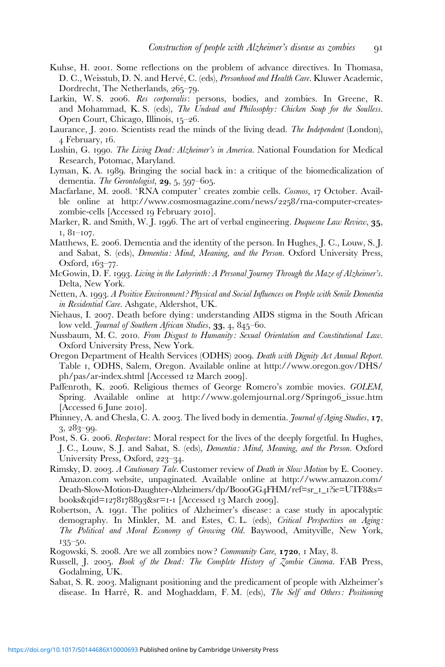- Kuhse, H. 2001. Some reflections on the problem of advance directives. In Thomasa, D. C., Weisstub, D. N. and Hervé, C. (eds), Personhood and Health Care. Kluwer Academic, Dordrecht, The Netherlands, 265–79.
- Larkin, W. S. 2006. Res corporealis: persons, bodies, and zombies. In Greene, R. and Mohammad, K. S. (eds), The Undead and Philosophy: Chicken Soup for the Soulless. Open Court, Chicago, Illinois, 15–26.
- Laurance, J. 2010. Scientists read the minds of the living dead. The Independent (London), 4 February, 16.
- Lushin, G. 1990. The Living Dead: Alzheimer's in America. National Foundation for Medical Research, Potomac, Maryland.
- Lyman, K. A. 1989. Bringing the social back in: a critique of the biomedicalization of dementia. The Gerontologist, 29, 5, 597–605.
- Macfarlane, M. 2008. 'RNA computer' creates zombie cells. Cosmos, 17 October. Availble online at http://www.cosmosmagazine.com/news/2258/rna-computer-createszombie-cells [Accessed 19 February 2010].
- Marker, R. and Smith, W. J. 1996. The art of verbal engineering. Duquesne Law Review, 35, 1, 81–107.
- Matthews, E. 2006. Dementia and the identity of the person. In Hughes, J. C., Louw, S. J. and Sabat, S. (eds), Dementia: Mind, Meaning, and the Person. Oxford University Press, Oxford, 163–77.
- McGowin, D. F. 1993. Living in the Labyrinth: A Personal Journey Through the Maze of Alzheimer's. Delta, New York.
- Netten, A. 1993. A Positive Environment ? Physical and Social Influences on People with Senile Dementia in Residential Care. Ashgate, Aldershot, UK.
- Niehaus, I. 2007. Death before dying: understanding AIDS stigma in the South African low veld. Journal of Southern African Studies, 33, 4, 845-60.
- Nussbaum, M. C. 2010. From Disgust to Humanity: Sexual Orientation and Constitutional Law. Oxford University Press, New York.
- Oregon Department of Health Services (ODHS) 2009. Death with Dignity Act Annual Report. Table 1, ODHS, Salem, Oregon. Available online at http://www.oregon.gov/DHS/ ph/pas/ar-index.shtml [Accessed 12 March 2009].
- Paffenroth, K. 2006. Religious themes of George Romero's zombie movies. GOLEM, Spring. Available online at http://www.golemjournal.org/Spring06\_issue.htm [Accessed 6 June 2010].
- Phinney, A. and Chesla, C. A. 2003. The lived body in dementia. *Journal of Aging Studies*, 17,  $3, 283 - 99.$
- Post, S. G. 2006. Respectare: Moral respect for the lives of the deeply forgetful. In Hughes, J. C., Louw, S. J. and Sabat, S. (eds), Dementia: Mind, Meaning, and the Person. Oxford University Press, Oxford, 223–34.
- Rimsky, D. 2003. A Cautionary Tale. Customer review of Death in Slow Motion by E. Cooney. Amazon.com website, unpaginated. Available online at http://www.amazon.com/ Death-Slow-Motion-Daughter-Alzheimers/dp/B000GG4FHM/ref=sr\_1\_1?ie=UTF8&s= books&qid=1278178893&sr=1-1 [Accessed 13 March 2009].
- Robertson, A. 1991. The politics of Alzheimer's disease: a case study in apocalyptic demography. In Minkler, M. and Estes, C. L. (eds), Critical Perspectives on Aging: The Political and Moral Economy of Growing Old. Baywood, Amityville, New York, 135–50.
- Rogowski, S. 2008. Are we all zombies now ? Community Care, 1720, 1 May, 8.
- Russell, J. 2005. Book of the Dead: The Complete History of Zombie Cinema. FAB Press, Godalming, UK.
- Sabat, S. R. 2003. Malignant positioning and the predicament of people with Alzheimer's disease. In Harré, R. and Moghaddam, F. M. (eds), The Self and Others: Positioning